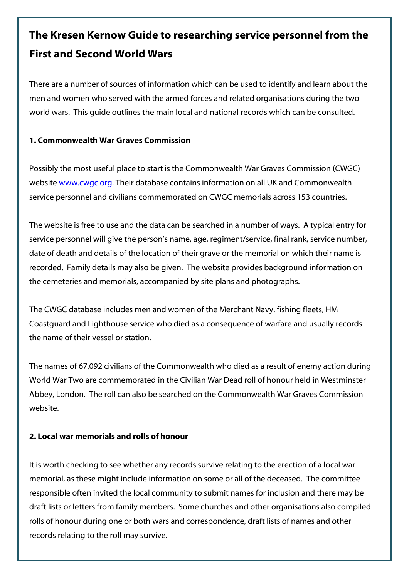# **The Kresen Kernow Guide to researching service personnel from the First and Second World Wars**

There are a number of sources of information which can be used to identify and learn about the men and women who served with the armed forces and related organisations during the two world wars. This guide outlines the main local and national records which can be consulted.

## **1. Commonwealth War Graves Commission**

Possibly the most useful place to start is the Commonwealth War Graves Commission (CWGC) websit[e www.cwgc.org.](http://www.cwgc.org/) Their database contains information on all UK and Commonwealth service personnel and civilians commemorated on CWGC memorials across 153 countries.

The website is free to use and the data can be searched in a number of ways. A typical entry for service personnel will give the person's name, age, regiment/service, final rank, service number, date of death and details of the location of their grave or the memorial on which their name is recorded. Family details may also be given. The website provides background information on the cemeteries and memorials, accompanied by site plans and photographs.

The CWGC database includes men and women of the Merchant Navy, fishing fleets, HM Coastguard and Lighthouse service who died as a consequence of warfare and usually records the name of their vessel or station.

The names of 67,092 civilians of the Commonwealth who died as a result of enemy action during World War Two are commemorated in the Civilian War Dead roll of honour held in Westminster Abbey, London. The roll can also be searched on the Commonwealth War Graves Commission website.

# **2. Local war memorials and rolls of honour**

It is worth checking to see whether any records survive relating to the erection of a local war memorial, as these might include information on some or all of the deceased. The committee responsible often invited the local community to submit names for inclusion and there may be draft lists or letters from family members. Some churches and other organisations also compiled rolls of honour during one or both wars and correspondence, draft lists of names and other records relating to the roll may survive.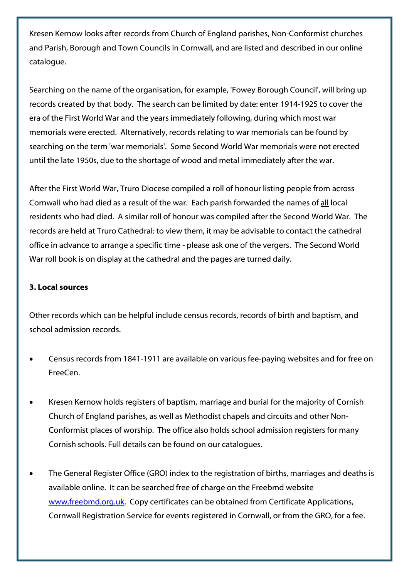Kresen Kernow looks after records from Church of England parishes, Non-Conformist churches and Parish, Borough and Town Councils in Cornwall, and are listed and described in our online catalogue.

Searching on the name of the organisation, for example, 'Fowey Borough Council', will bring up records created by that body. The search can be limited by date: enter 1914-1925 to cover the era of the First World War and the years immediately following, during which most war memorials were erected. Alternatively, records relating to war memorials can be found by searching on the term 'war memorials'. Some Second World War memorials were not erected until the late 1950s, due to the shortage of wood and metal immediately after the war.

After the First World War, Truro Diocese compiled a roll of honour listing people from across Cornwall who had died as a result of the war. Each parish forwarded the names of all local residents who had died. A similar roll of honour was compiled after the Second World War. The records are held at Truro Cathedral: to view them, it may be advisable to contact the cathedral office in advance to arrange a specific time - please ask one of the vergers. The Second World War roll book is on display at the cathedral and the pages are turned daily.

# **3. Local sources**

Other records which can be helpful include census records, records of birth and baptism, and school admission records.

- Census records from 1841-1911 are available on various fee-paying websites and for free on FreeCen.
- Kresen Kernow holds registers of baptism, marriage and burial for the majority of Cornish Church of England parishes, as well as Methodist chapels and circuits and other Non-Conformist places of worship. The office also holds school admission registers for many Cornish schools. Full details can be found on our catalogues.
- The General Register Office (GRO) index to the registration of births, marriages and deaths is available online. It can be searched free of charge on the Freebmd website [www.freebmd.org.uk.](http://www.freebmd.org.uk/) Copy certificates can be obtained from Certificate Applications, Cornwall Registration Service for events registered in Cornwall, or from the GRO, for a fee.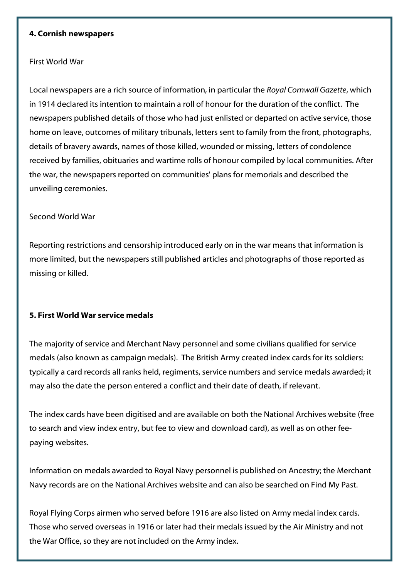#### **4. Cornish newspapers**

### First World War

Local newspapers are a rich source of information, in particular the *Royal Cornwall Gazette*, which in 1914 declared its intention to maintain a roll of honour for the duration of the conflict. The newspapers published details of those who had just enlisted or departed on active service, those home on leave, outcomes of military tribunals, letters sent to family from the front, photographs, details of bravery awards, names of those killed, wounded or missing, letters of condolence received by families, obituaries and wartime rolls of honour compiled by local communities. After the war, the newspapers reported on communities' plans for memorials and described the unveiling ceremonies.

#### Second World War

Reporting restrictions and censorship introduced early on in the war means that information is more limited, but the newspapers still published articles and photographs of those reported as missing or killed.

## **5. First World War service medals**

The majority of service and Merchant Navy personnel and some civilians qualified for service medals (also known as campaign medals). The British Army created index cards for its soldiers: typically a card records all ranks held, regiments, service numbers and service medals awarded; it may also the date the person entered a conflict and their date of death, if relevant.

The index cards have been digitised and are available on both the National Archives website (free to search and view index entry, but fee to view and download card), as well as on other feepaying websites.

Information on medals awarded to Royal Navy personnel is published on Ancestry; the Merchant Navy records are on the National Archives website and can also be searched on Find My Past.

Royal Flying Corps airmen who served before 1916 are also listed on Army medal index cards. Those who served overseas in 1916 or later had their medals issued by the Air Ministry and not the War Office, so they are not included on the Army index.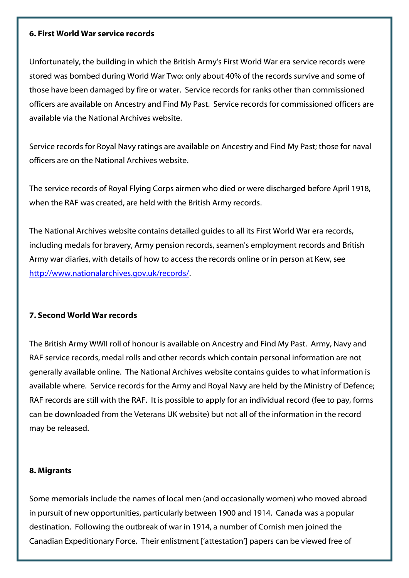#### **6. First World War service records**

Unfortunately, the building in which the British Army's First World War era service records were stored was bombed during World War Two: only about 40% of the records survive and some of those have been damaged by fire or water. Service records for ranks other than commissioned officers are available on Ancestry and Find My Past. Service records for commissioned officers are available via the National Archives website.

Service records for Royal Navy ratings are available on Ancestry and Find My Past; those for naval officers are on the National Archives website.

The service records of Royal Flying Corps airmen who died or were discharged before April 1918, when the RAF was created, are held with the British Army records.

The National Archives website contains detailed guides to all its First World War era records, including medals for bravery, Army pension records, seamen's employment records and British Army war diaries, with details of how to access the records online or in person at Kew, see [http://www.nationalarchives.gov.uk/records/.](http://www.nationalarchives.gov.uk/records/) 

## **7. Second World War records**

The British Army WWII roll of honour is available on Ancestry and Find My Past. Army, Navy and RAF service records, medal rolls and other records which contain personal information are not generally available online. The National Archives website contains guides to what information is available where. Service records for the Army and Royal Navy are held by the Ministry of Defence; RAF records are still with the RAF. It is possible to apply for an individual record (fee to pay, forms can be downloaded from the Veterans UK website) but not all of the information in the record may be released.

## **8. Migrants**

Some memorials include the names of local men (and occasionally women) who moved abroad in pursuit of new opportunities, particularly between 1900 and 1914. Canada was a popular destination. Following the outbreak of war in 1914, a number of Cornish men joined the Canadian Expeditionary Force. Their enlistment ['attestation'] papers can be viewed free of